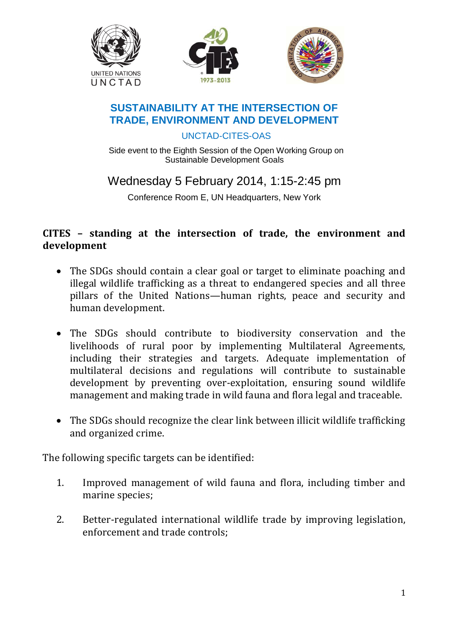





## **SUSTAINABILITY AT THE INTERSECTION OF TRADE, ENVIRONMENT AND DEVELOPMENT**

UNCTAD-CITES-OAS

Side event to the Eighth Session of the Open Working Group on Sustainable Development Goals

Wednesday 5 February 2014, 1:15-2:45 pm

Conference Room E, UN Headquarters, New York

## **CITES – standing at the intersection of trade, the environment and development**

- The SDGs should contain a clear goal or target to eliminate poaching and illegal wildlife trafficking as a threat to endangered species and all three pillars of the United Nations—human rights, peace and security and human development.
- The SDGs should contribute to biodiversity conservation and the livelihoods of rural poor by implementing Multilateral Agreements, including their strategies and targets. Adequate implementation of multilateral decisions and regulations will contribute to sustainable development by preventing over-exploitation, ensuring sound wildlife management and making trade in wild fauna and flora legal and traceable.
- The SDGs should recognize the clear link between illicit wildlife trafficking and organized crime.

The following specific targets can be identified:

- 1. Improved management of wild fauna and flora, including timber and marine species;
- 2. Better-regulated international wildlife trade by improving legislation, enforcement and trade controls;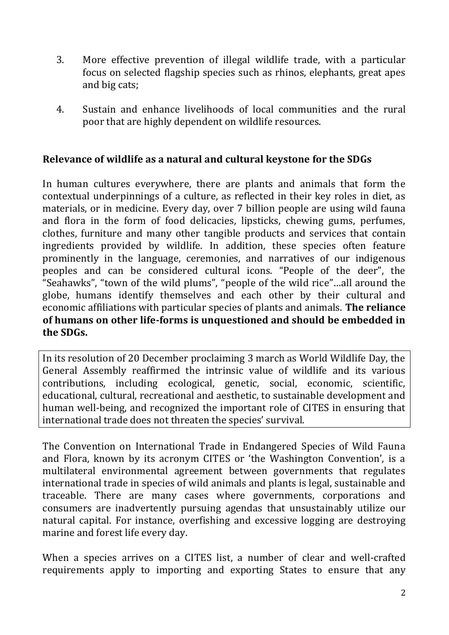- 3. More effective prevention of illegal wildlife trade, with a particular focus on selected flagship species such as rhinos, elephants, great apes and big cats;
- 4. Sustain and enhance livelihoods of local communities and the rural poor that are highly dependent on wildlife resources.

## **Relevance of wildlife as a natural and cultural keystone for the SDGs**

In human cultures everywhere, there are plants and animals that form the contextual underpinnings of a culture, as reflected in their key roles in diet, as materials, or in medicine. Every day, over 7 billion people are using wild fauna and flora in the form of food delicacies, lipsticks, chewing gums, perfumes, clothes, furniture and many other tangible products and services that contain ingredients provided by wildlife. In addition, these species often feature prominently in the language, ceremonies, and narratives of our indigenous peoples and can be considered cultural icons. "People of the deer", the "Seahawks", "town of the wild plums", "people of the wild rice"…all around the globe, humans identify themselves and each other by their cultural and economic affiliations with particular species of plants and animals. **The reliance of humans on other life-forms is unquestioned and should be embedded in the SDGs.**

In its resolution of 20 December proclaiming 3 march as World Wildlife Day, the General Assembly reaffirmed the intrinsic value of wildlife and its various contributions, including ecological, genetic, social, economic, scientific, educational, cultural, recreational and aesthetic, to sustainable development and human well-being, and recognized the important role of CITES in ensuring that international trade does not threaten the species' survival.

The Convention on International Trade in Endangered Species of Wild Fauna and Flora, known by its acronym CITES or 'the Washington Convention', is a multilateral environmental agreement between governments that regulates international trade in species of wild animals and plants is legal, sustainable and traceable. There are many cases where governments, corporations and consumers are inadvertently pursuing agendas that unsustainably utilize our natural capital. For instance, overfishing and excessive logging are destroying marine and forest life every day.

When a species arrives on a CITES list, a number of clear and well-crafted requirements apply to importing and exporting States to ensure that any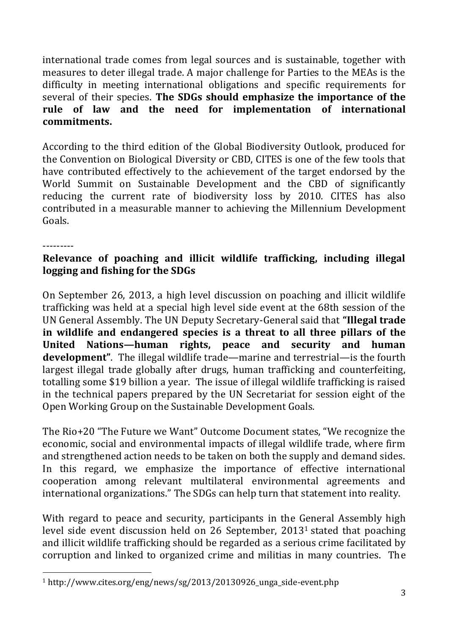international trade comes from legal sources and is sustainable, together with measures to deter illegal trade. A major challenge for Parties to the MEAs is the difficulty in meeting international obligations and specific requirements for several of their species. **The SDGs should emphasize the importance of the rule of law and the need for implementation of international commitments.**

According to the third edition of the Global Biodiversity Outlook, produced for the Convention on Biological Diversity or CBD, CITES is one of the few tools that have contributed effectively to the achievement of the target endorsed by the World Summit on Sustainable Development and the CBD of significantly reducing the current rate of biodiversity loss by 2010. CITES has also contributed in a measurable manner to achieving the Millennium Development Goals.

---------

 $\overline{a}$ 

## **Relevance of poaching and illicit wildlife trafficking, including illegal logging and fishing for the SDGs**

On September 26, 2013, a high level discussion on poaching and illicit wildlife trafficking was held at a special high level side event at the 68th session of the UN General Assembly. The UN Deputy Secretary-General said that **"Illegal trade in wildlife and endangered species is a threat to all three pillars of the United Nations—human rights, peace and security and human development"**. The illegal wildlife trade—marine and terrestrial—is the fourth largest illegal trade globally after drugs, human trafficking and counterfeiting, totalling some \$19 billion a year. The issue of illegal wildlife trafficking is raised in the technical papers prepared by the UN Secretariat for session eight of the Open Working Group on the Sustainable Development Goals.

The Rio+20 "The Future we Want" Outcome Document states, "We recognize the economic, social and environmental impacts of illegal wildlife trade, where firm and strengthened action needs to be taken on both the supply and demand sides. In this regard, we emphasize the importance of effective international cooperation among relevant multilateral environmental agreements and international organizations." The SDGs can help turn that statement into reality.

With regard to peace and security, participants in the General Assembly high level side event discussion held on 26 September, 2013<sup>1</sup> stated that poaching and illicit wildlife trafficking should be regarded as a serious crime facilitated by corruption and linked to organized crime and militias in many countries. The

<sup>1</sup> http://www.cites.org/eng/news/sg/2013/20130926\_unga\_side-event.php